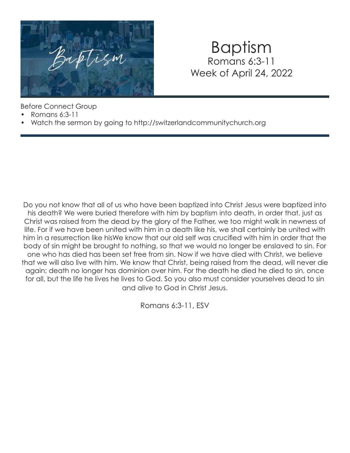

### Baptism Romans 6:3-11 Week of April 24, 2022

Before Connect Group

- Romans 6:3-11
- Watch the sermon by going to http://switzerlandcommunitychurch.org

Do you not know that all of us who have been baptized into Christ Jesus were baptized into his death? We were buried therefore with him by baptism into death, in order that, just as Christ was raised from the dead by the glory of the Father, we too might walk in newness of life. For if we have been united with him in a death like his, we shall certainly be united with him in a resurrection like hisWe know that our old self was crucified with him in order that the body of sin might be brought to nothing, so that we would no longer be enslaved to sin. For one who has died has been set free from sin. Now if we have died with Christ, we believe that we will also live with him. We know that Christ, being raised from the dead, will never die again; death no longer has dominion over him. For the death he died he died to sin, once for all, but the life he lives he lives to God. So you also must consider yourselves dead to sin and alive to God in Christ Jesus.

Romans 6:3-11, ESV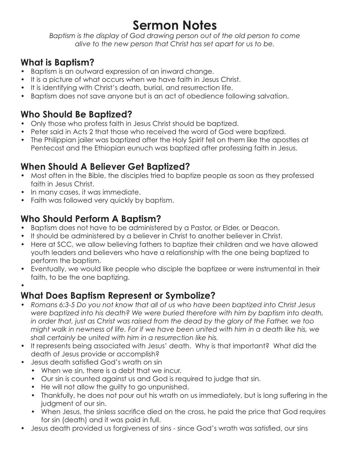## **Sermon Notes**

*Baptism is the display of God drawing person out of the old person to come alive to the new person that Christ has set apart for us to be.* 

#### **What is Baptism?**

- Baptism is an outward expression of an inward change.
- It is a picture of what occurs when we have faith in Jesus Christ.
- It is identifying with Christ's death, burial, and resurrection life.
- Baptism does not save anyone but is an act of obedience following salvation.

#### **Who Should Be Baptized?**

- Only those who profess faith in Jesus Christ should be baptized.
- Peter said in Acts 2 that those who received the word of God were baptized.
- The Philippian jailer was baptized after the Holy Spirit fell on them like the apostles at Pentecost and the Ethiopian eunuch was baptized after professing faith in Jesus.

#### **When Should A Believer Get Baptized?**

- Most often in the Bible, the disciples tried to baptize people as soon as they professed faith in Jesus Christ.
- In many cases, it was immediate.
- Faith was followed very quickly by baptism.

#### **Who Should Perform A Baptism?**

- Baptism does not have to be administered by a Pastor, or Elder, or Deacon.
- It should be administered by a believer in Christ to another believer in Christ.
- Here at SCC, we allow believing fathers to baptize their children and we have allowed youth leaders and believers who have a relationship with the one being baptized to perform the baptism.
- Eventually, we would like people who disciple the baptizee or were instrumental in their faith, to be the one baptizing.
- •

#### **What Does Baptism Represent or Symbolize?**

- *Romans 6:3-5 Do you not know that all of us who have been baptized into Christ Jesus were baptized into his death? We were buried therefore with him by baptism into death, in order that, just as Christ was raised from the dead by the glory of the Father, we too might walk in newness of life. For if we have been united with him in a death like his, we shall certainly be united with him in a resurrection like his.*
- It represents being associated with Jesus' death. Why is that important? What did the death of Jesus provide or accomplish?
- Jesus death satisfied God's wrath on sin
	- When we sin, there is a debt that we incur.
	- Our sin is counted against us and God is required to judge that sin.
	- He will not allow the guilty to go unpunished.
	- Thankfully, he does not pour out his wrath on us immediately, but is long suffering in the judament of our sin.
	- When Jesus, the sinless sacrifice died on the cross, he paid the price that God requires for sin (death) and it was paid in full.
- Jesus death provided us forgiveness of sins since God's wrath was satisfied, our sins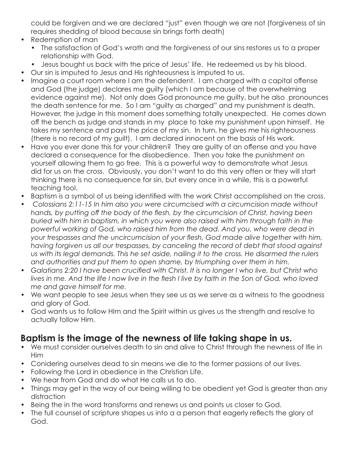could be forgiven and we are declared "just" even though we are not (forgiveness of sin requires shedding of blood because sin brings forth death)

- Redemption of man
	- The satisfaction of God's wrath and the forgiveness of our sins restores us to a proper relationship with God.
	- Jesus bought us back with the price of Jesus' life. He redeemed us by his blood.
- Our sin is imputed to Jesus and His righteousness is imputed to us.
- Imagine a court room where I am the defendent. I am charged with a capital offense and God (the judge) declares me guilty (which I am because of the overwhelming evidence against me). Not only does God pronounce me guilty, but he also pronounces the death sentence for me. So I am "guilty as charged" and my punishment is death. However, the judge in this moment does something totally unexpected. He comes down off the bench as judge and stands in my place to take my punishment upon himself. He takes my sentence and pays the price of my sin. In turn, he gives me his righteousness (there is no record of my guilt). I am declared innocent on the basis of His work.
- Have you ever done this for your children? They are guilty of an offense and you have declared a consequence for the disobedience. Then you take the punishment on yourself allowing them to go free. This is a powerful way to demonstrate what Jesus did for us on the cross. Obviously, you don't want to do this very often or they will start thinking there is no consequence for sin, but every once in a while, this is a powerful teaching tool.
- Baptism is a symbol of us being identified with the work Christ accomplished on the cross.
- *Colossians 2:11-15 In him also you were circumcised with a circumcision made without hands, by putting off the body of the flesh, by the circumcision of Christ, having been buried with him in baptism, in which you were also raised with him through faith in the powerful working of God, who raised him from the dead. And you, who were dead in your trespasses and the uncircumcision of your flesh, God made alive together with him, having forgiven us all our trespasses, by canceling the record of debt that stood against us with its legal demands. This he set aside, nailing it to the cross. He disarmed the rulers and authorities and put them to open shame, by triumphing over them in him.*
- Galatians 2:20 I have been crucified with Christ. It is no longer I who live, but Christ who *lives in me. And the life I now live in the flesh I live by faith in the Son of God, who loved me and gave himself for me.*
- We want people to see Jesus when they see us as we serve as a witness to the goodness and glory of God.
- God wants us to follow HIm and the Spirit within us gives us the strength and resolve to actually follow Him.

#### **Baptism is the image of the newness of life taking shape in us.**

- We must consider ourselves death to sin and alive to Christ through the newness of lfie in Him
- Conidering ourselves dead to sin means we die to the former passions of our lives.
- Following the Lord in obedience in the Christian Life.
- We hear from God and do what He calls us to do.
- Things may get in the way of our being willing to be obedient yet God is greater than any distraction
- Being the in the word transforms and renews us and points us closer to God.
- The full counsel of scripture shapes us into a a person that eagerly reflects the glory of God.